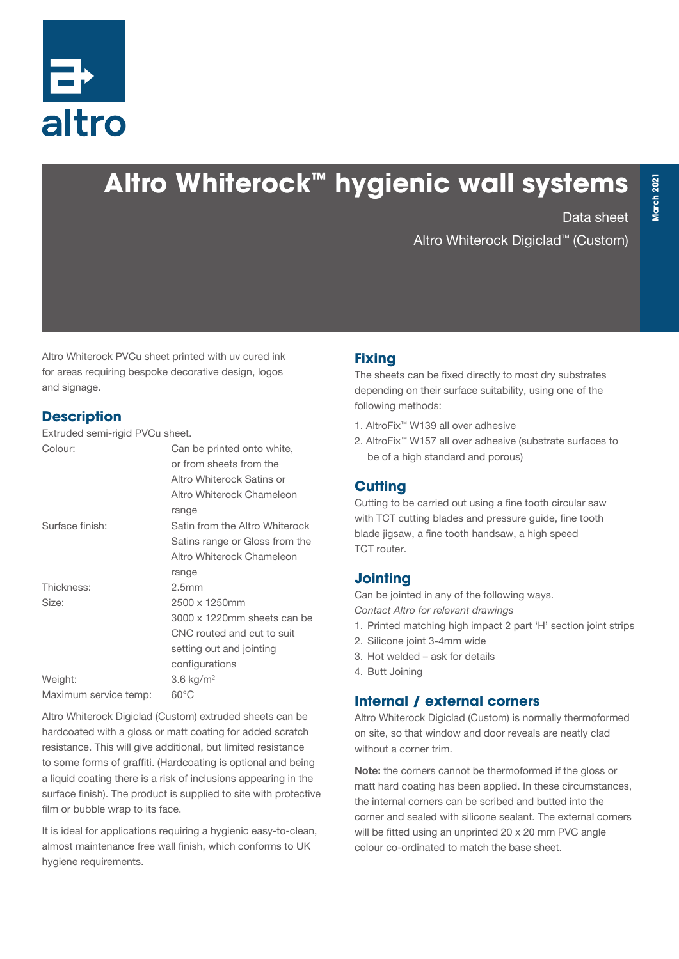

# **Altro Whiterock™ hygienic wall systems**

Data sheet

Altro Whiterock Digiclad™ (Custom)

Altro Whiterock PVCu sheet printed with uv cured ink for areas requiring bespoke decorative design, logos and signage.

# **Description**

Extruded semi-rigid PVCu sheet.

| Colour:                          | Can be printed onto white,<br>or from sheets from the<br>Altro Whiterock Satins or<br>Altro Whiterock Chameleon<br>range |
|----------------------------------|--------------------------------------------------------------------------------------------------------------------------|
| Surface finish:                  | Satin from the Altro Whiterock<br>Satins range or Gloss from the<br>Altro Whiterock Chameleon<br>range                   |
| Thickness:                       | 2.5 <sub>mm</sub>                                                                                                        |
| Size:                            | 2500 x 1250mm<br>3000 x 1220mm sheets can be<br>CNC routed and cut to suit<br>setting out and jointing<br>configurations |
| Weight:<br>Maximum service temp: | $3.6$ kg/m <sup>2</sup><br>60°C                                                                                          |
|                                  |                                                                                                                          |

Altro Whiterock Digiclad (Custom) extruded sheets can be hardcoated with a gloss or matt coating for added scratch resistance. This will give additional, but limited resistance to some forms of graffiti. (Hardcoating is optional and being a liquid coating there is a risk of inclusions appearing in the surface finish). The product is supplied to site with protective film or bubble wrap to its face.

It is ideal for applications requiring a hygienic easy-to-clean, almost maintenance free wall finish, which conforms to UK hygiene requirements.

# **Fixing**

The sheets can be fixed directly to most dry substrates depending on their surface suitability, using one of the following methods:

- 1. AltroFix™ W139 all over adhesive
- 2. AltroFix™ W157 all over adhesive (substrate surfaces to be of a high standard and porous)

# **Cutting**

Cutting to be carried out using a fine tooth circular saw with TCT cutting blades and pressure guide, fine tooth blade jigsaw, a fine tooth handsaw, a high speed TCT router.

# **Jointing**

Can be jointed in any of the following ways. *Contact Altro for relevant drawings*

- 1. Printed matching high impact 2 part 'H' section joint strips
- 2. Silicone joint 3-4mm wide
- 3. Hot welded ask for details
- 4. Butt Joining

# **Internal / external corners**

Altro Whiterock Digiclad (Custom) is normally thermoformed on site, so that window and door reveals are neatly clad without a corner trim.

Note: the corners cannot be thermoformed if the gloss or matt hard coating has been applied. In these circumstances, the internal corners can be scribed and butted into the corner and sealed with silicone sealant. The external corners will be fitted using an unprinted 20 x 20 mm PVC angle colour co-ordinated to match the base sheet.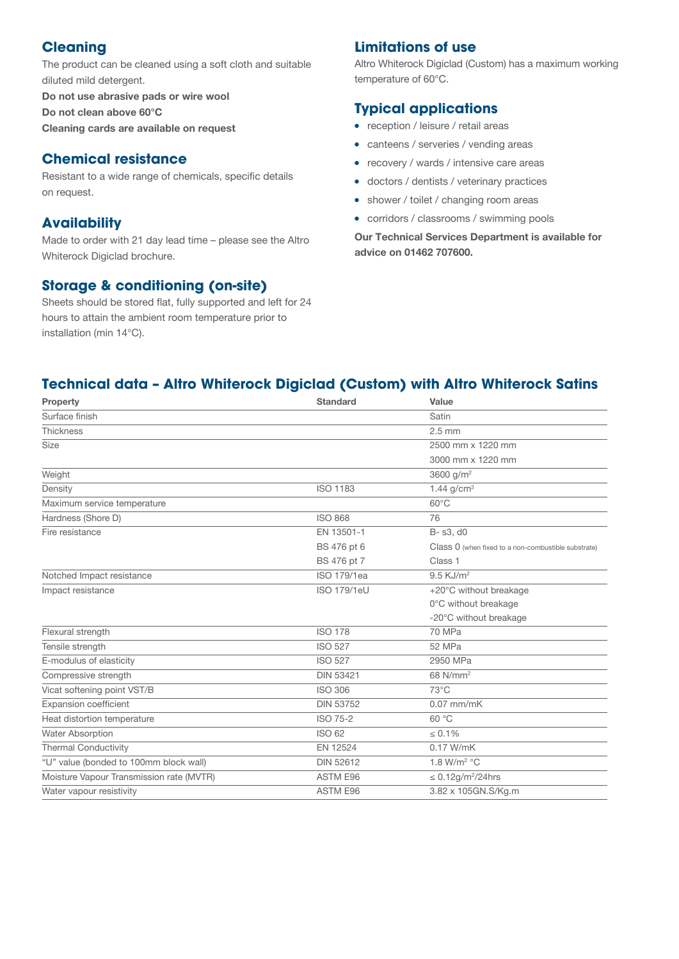#### **Cleaning**

The product can be cleaned using a soft cloth and suitable diluted mild detergent.

Do not use abrasive pads or wire wool Do not clean above 60°C Cleaning cards are available on request

#### **Chemical resistance**

Resistant to a wide range of chemicals, specific details on request.

#### **Availability**

Made to order with 21 day lead time – please see the Altro Whiterock Digiclad brochure.

#### **Storage & conditioning (on-site)**

Sheets should be stored flat, fully supported and left for 24 hours to attain the ambient room temperature prior to installation (min 14°C).

#### **Limitations of use**

Altro Whiterock Digiclad (Custom) has a maximum working temperature of 60°C.

#### **Typical applications**

- reception / leisure / retail areas
- canteens / serveries / vending areas
- recovery / wards / intensive care areas
- doctors / dentists / veterinary practices
- shower / toilet / changing room areas
- corridors / classrooms / swimming pools

Our Technical Services Department is available for advice on 01462 707600.

## **Technical data – Altro Whiterock Digiclad (Custom) with Altro Whiterock Satins**

| Property                                 | <b>Standard</b>    | Value                                               |
|------------------------------------------|--------------------|-----------------------------------------------------|
| Surface finish                           |                    | Satin                                               |
| Thickness                                |                    | $2.5$ mm                                            |
| <b>Size</b>                              |                    | 2500 mm x 1220 mm                                   |
|                                          |                    | 3000 mm x 1220 mm                                   |
| Weight                                   |                    | 3600 g/ $m^2$                                       |
| Density                                  | <b>ISO 1183</b>    | 1.44 $g/cm3$                                        |
| Maximum service temperature              |                    | $60^{\circ}$ C                                      |
| Hardness (Shore D)                       | <b>ISO 868</b>     | 76                                                  |
| Fire resistance                          | EN 13501-1         | B-s3, d0                                            |
|                                          | BS 476 pt 6        | Class 0 (when fixed to a non-combustible substrate) |
|                                          | BS 476 pt 7        | Class 1                                             |
| Notched Impact resistance                | ISO 179/1ea        | $9.5$ KJ/ $m2$                                      |
| Impact resistance                        | <b>ISO 179/1eU</b> | +20°C without breakage                              |
|                                          |                    | 0°C without breakage                                |
|                                          |                    | -20°C without breakage                              |
| Flexural strength                        | <b>ISO 178</b>     | 70 MPa                                              |
| Tensile strength                         | <b>ISO 527</b>     | 52 MPa                                              |
| E-modulus of elasticity                  | <b>ISO 527</b>     | 2950 MPa                                            |
| Compressive strength                     | <b>DIN 53421</b>   | 68 N/mm <sup>2</sup>                                |
| Vicat softening point VST/B              | <b>ISO 306</b>     | $73^{\circ}$ C                                      |
| Expansion coefficient                    | <b>DIN 53752</b>   | $0.07$ mm/mK                                        |
| Heat distortion temperature              | <b>ISO 75-2</b>    | 60 °C                                               |
| Water Absorption                         | <b>ISO 62</b>      | $\leq 0.1\%$                                        |
| <b>Thermal Conductivity</b>              | EN 12524           | 0.17 W/mK                                           |
| "U" value (bonded to 100mm block wall)   | <b>DIN 52612</b>   | 1.8 W/m <sup>2</sup> $°C$                           |
| Moisture Vapour Transmission rate (MVTR) | <b>ASTM E96</b>    | $\leq$ 0.12g/m <sup>2</sup> /24hrs                  |
| Water vapour resistivity                 | <b>ASTM E96</b>    | 3.82 x 105GN.S/Kg.m                                 |